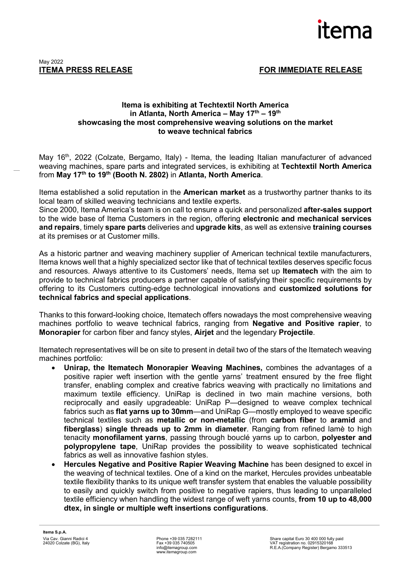

## **Itema is exhibiting at Techtextil North America in Atlanta, North America – May 17th – 19th showcasing the most comprehensive weaving solutions on the market to weave technical fabrics**

May 16<sup>th</sup>, 2022 (Colzate, Bergamo, Italy) - Itema, the leading Italian manufacturer of advanced weaving machines, spare parts and integrated services, is exhibiting at **Techtextil North America** from **May 17th to 19th (Booth N. 2802)** in **Atlanta, North America**.

Itema established a solid reputation in the **American market** as a trustworthy partner thanks to its local team of skilled weaving technicians and textile experts.

Since 2000, Itema America's team is on call to ensure a quick and personalized **after-sales support** to the wide base of Itema Customers in the region, offering **electronic and mechanical services and repairs**, timely **spare parts** deliveries and **upgrade kits**, as well as extensive **training courses** at its premises or at Customer mills.

As a historic partner and weaving machinery supplier of American technical textile manufacturers, Itema knows well that a highly specialized sector like that of technical textiles deserves specific focus and resources. Always attentive to its Customers' needs, Itema set up **Itematech** with the aim to provide to technical fabrics producers a partner capable of satisfying their specific requirements by offering to its Customers cutting-edge technological innovations and **customized solutions for technical fabrics and special applications**.

Thanks to this forward-looking choice, Itematech offers nowadays the most comprehensive weaving machines portfolio to weave technical fabrics, ranging from **Negative and Positive rapier**, to **Monorapier** for carbon fiber and fancy styles, **Airjet** and the legendary **Projectile**.

Itematech representatives will be on site to present in detail two of the stars of the Itematech weaving machines portfolio:

- **Unirap, the Itematech Monorapier Weaving Machines,** combines the advantages of a positive rapier weft insertion with the gentle yarns' treatment ensured by the free flight transfer, enabling complex and creative fabrics weaving with practically no limitations and maximum textile efficiency. UniRap is declined in two main machine versions, both reciprocally and easily upgradeable: UniRap P—designed to weave complex technical fabrics such as **flat yarns up to 30mm**—and UniRap G—mostly employed to weave specific technical textiles such as **metallic or non-metallic** (from **carbon fiber** to **aramid** and **fiberglass**) **single threads up to 2mm in diameter**. Ranging from refined lamè to high tenacity **monofilament yarns**, passing through bouclé yarns up to carbon, **polyester and polypropylene tape**, UniRap provides the possibility to weave sophisticated technical fabrics as well as innovative fashion styles.
- **Hercules Negative and Positive Rapier Weaving Machine** has been designed to excel in the weaving of technical textiles. One of a kind on the market, Hercules provides unbeatable textile flexibility thanks to its unique weft transfer system that enables the valuable possibility to easily and quickly switch from positive to negative rapiers, thus leading to unparalleled textile efficiency when handling the widest range of weft yarns counts, **from 10 up to 48,000 dtex, in single or multiple weft insertions configurations**.